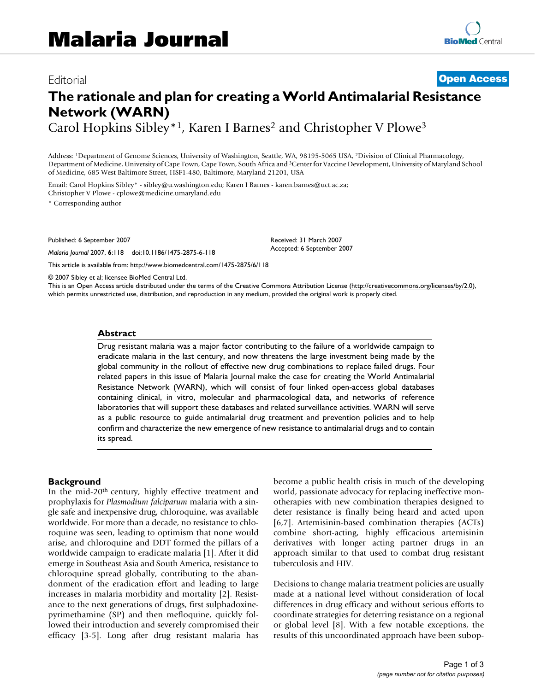# **The rationale and plan for creating a World Antimalarial Resistance Network (WARN)**

Carol Hopkins Sibley\*<sup>1</sup>, Karen I Barnes<sup>2</sup> and Christopher V Plowe<sup>3</sup>

Address: 1Department of Genome Sciences, University of Washington, Seattle, WA, 98195-5065 USA, 2Division of Clinical Pharmacology, Department of Medicine, University of Cape Town, Cape Town, South Africa and 3Center for Vaccine Development, University of Maryland School of Medicine, 685 West Baltimore Street, HSF1-480, Baltimore, Maryland 21201, USA

Email: Carol Hopkins Sibley\* - sibley@u.washington.edu; Karen I Barnes - karen.barnes@uct.ac.za; Christopher V Plowe - cplowe@medicine.umaryland.edu

\* Corresponding author

Published: 6 September 2007

*Malaria Journal* 2007, **6**:118 doi:10.1186/1475-2875-6-118

[This article is available from: http://www.biomedcentral.com/1475-2875/6/118](http://www.biomedcentral.com/1475-2875/6/118)

Received: 31 March 2007 Accepted: 6 September 2007

© 2007 Sibley et al; licensee BioMed Central Ltd.

This is an Open Access article distributed under the terms of the Creative Commons Attribution License [\(http://creativecommons.org/licenses/by/2.0\)](http://creativecommons.org/licenses/by/2.0), which permits unrestricted use, distribution, and reproduction in any medium, provided the original work is properly cited.

## **Abstract**

Drug resistant malaria was a major factor contributing to the failure of a worldwide campaign to eradicate malaria in the last century, and now threatens the large investment being made by the global community in the rollout of effective new drug combinations to replace failed drugs. Four related papers in this issue of Malaria Journal make the case for creating the World Antimalarial Resistance Network (WARN), which will consist of four linked open-access global databases containing clinical, in vitro, molecular and pharmacological data, and networks of reference laboratories that will support these databases and related surveillance activities. WARN will serve as a public resource to guide antimalarial drug treatment and prevention policies and to help confirm and characterize the new emergence of new resistance to antimalarial drugs and to contain its spread.

## **Background**

In the mid-20th century, highly effective treatment and prophylaxis for *Plasmodium falciparum* malaria with a single safe and inexpensive drug, chloroquine, was available worldwide. For more than a decade, no resistance to chloroquine was seen, leading to optimism that none would arise, and chloroquine and DDT formed the pillars of a worldwide campaign to eradicate malaria [1]. After it did emerge in Southeast Asia and South America, resistance to chloroquine spread globally, contributing to the abandonment of the eradication effort and leading to large increases in malaria morbidity and mortality [2]. Resistance to the next generations of drugs, first sulphadoxinepyrimethamine (SP) and then mefloquine, quickly followed their introduction and severely compromised their efficacy [3-5]. Long after drug resistant malaria has become a public health crisis in much of the developing world, passionate advocacy for replacing ineffective monotherapies with new combination therapies designed to deter resistance is finally being heard and acted upon [6,7]. Artemisinin-based combination therapies (ACTs) combine short-acting, highly efficacious artemisinin derivatives with longer acting partner drugs in an approach similar to that used to combat drug resistant tuberculosis and HIV.

Decisions to change malaria treatment policies are usually made at a national level without consideration of local differences in drug efficacy and without serious efforts to coordinate strategies for deterring resistance on a regional or global level [8]. With a few notable exceptions, the results of this uncoordinated approach have been subop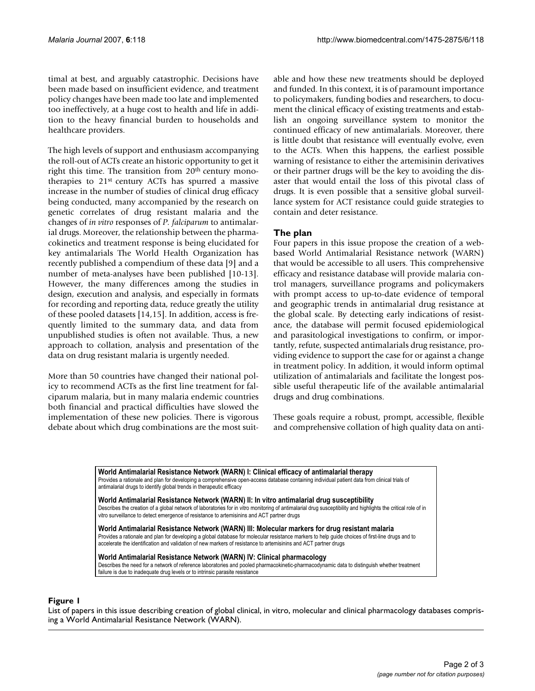timal at best, and arguably catastrophic. Decisions have been made based on insufficient evidence, and treatment policy changes have been made too late and implemented too ineffectively, at a huge cost to health and life in addition to the heavy financial burden to households and healthcare providers.

The high levels of support and enthusiasm accompanying the roll-out of ACTs create an historic opportunity to get it right this time. The transition from 20<sup>th</sup> century monotherapies to 21st century ACTs has spurred a massive increase in the number of studies of clinical drug efficacy being conducted, many accompanied by the research on genetic correlates of drug resistant malaria and the changes of *in vitro* responses of *P. falciparum* to antimalarial drugs. Moreover, the relationship between the pharmacokinetics and treatment response is being elucidated for key antimalarials The World Health Organization has recently published a compendium of these data [9] and a number of meta-analyses have been published [10-13]. However, the many differences among the studies in design, execution and analysis, and especially in formats for recording and reporting data, reduce greatly the utility of these pooled datasets [14,15]. In addition, access is frequently limited to the summary data, and data from unpublished studies is often not available. Thus, a new approach to collation, analysis and presentation of the data on drug resistant malaria is urgently needed.

More than 50 countries have changed their national policy to recommend ACTs as the first line treatment for falciparum malaria, but in many malaria endemic countries both financial and practical difficulties have slowed the implementation of these new policies. There is vigorous debate about which drug combinations are the most suitable and how these new treatments should be deployed and funded. In this context, it is of paramount importance to policymakers, funding bodies and researchers, to document the clinical efficacy of existing treatments and establish an ongoing surveillance system to monitor the continued efficacy of new antimalarials. Moreover, there is little doubt that resistance will eventually evolve, even to the ACTs. When this happens, the earliest possible warning of resistance to either the artemisinin derivatives or their partner drugs will be the key to avoiding the disaster that would entail the loss of this pivotal class of drugs. It is even possible that a sensitive global surveillance system for ACT resistance could guide strategies to contain and deter resistance.

# **The plan**

Four papers in this issue propose the creation of a webbased World Antimalarial Resistance network (WARN) that would be accessible to all users. This comprehensive efficacy and resistance database will provide malaria control managers, surveillance programs and policymakers with prompt access to up-to-date evidence of temporal and geographic trends in antimalarial drug resistance at the global scale. By detecting early indications of resistance, the database will permit focused epidemiological and parasitological investigations to confirm, or importantly, refute, suspected antimalarials drug resistance, providing evidence to support the case for or against a change in treatment policy. In addition, it would inform optimal utilization of antimalarials and facilitate the longest possible useful therapeutic life of the available antimalarial drugs and drug combinations.

These goals require a robust, prompt, accessible, flexible and comprehensive collation of high quality data on anti-

**World Antimalarial Resistance Network (WARN) I: Clinical efficacy of antimalarial therapy**  Provides a rationale and plan for developing a comprehensive open-access database containing individual patient data from clinical trials of antimalarial drugs to identify global trends in therapeutic efficacy

**World Antimalarial Resistance Network (WARN) II: In vitro antimalarial drug susceptibility** 

Describes the creation of a global network of laboratories for in vitro monitoring of antimalarial drug susceptibility and highlights the critical role of in vitro surveillance to detect emergence of resistance to artemisinins and ACT partner drugs

**World Antimalarial Resistance Network (WARN) III: Molecular markers for drug resistant malaria**  Provides a rationale and plan for developing a global database for molecular resistance markers to help guide choices of first-line drugs and to accelerate the identification and validation of new markers of resistance to artemisinins and ACT partner drugs

#### **World Antimalarial Resistance Network (WARN) IV: Clinical pharmacology**  Describes the need for a network of reference laboratories and pooled pharmacokinetic-pharmacodynamic data to distinguish whether treatment

failure is due to inadequate drug levels or to intrinsic parasite resistance

# List of papers in this issue describing creation of global cl ing a World Antimalarial **Figure 1** Resistance Network (WARN) inical, in vitro, molecular and clinical pharmacology databases compris-

List of papers in this issue describing creation of global clinical, in vitro, molecular and clinical pharmacology databases comprising a World Antimalarial Resistance Network (WARN).